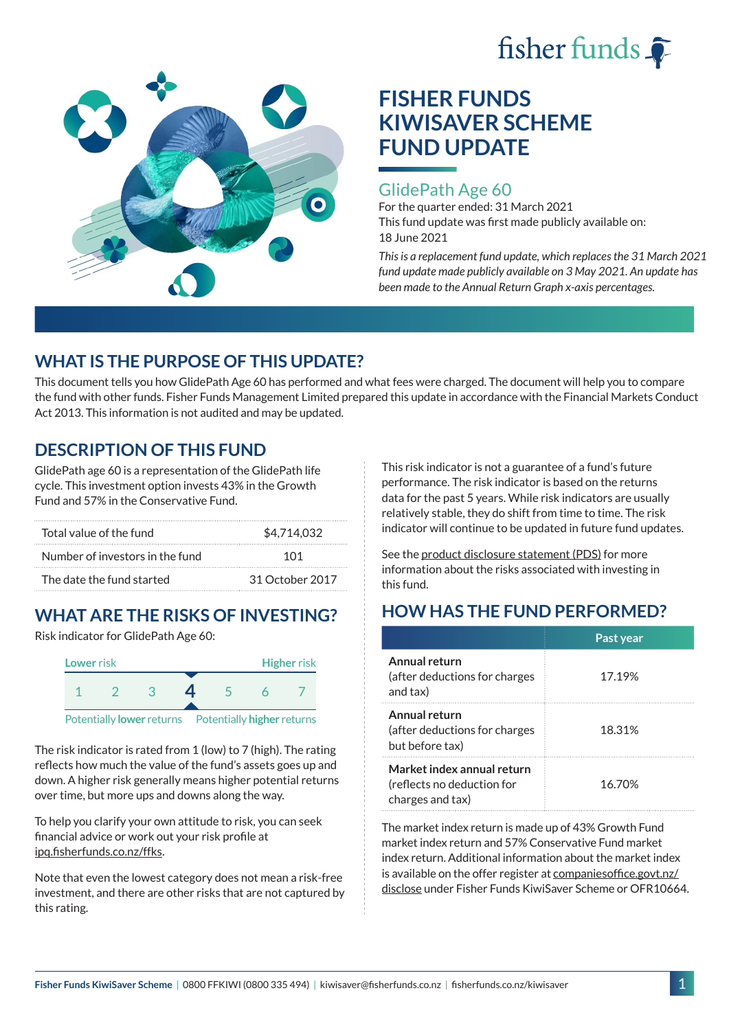



# **FISHER FUNDS KIWISAVER SCHEME FUND UPDATE**

#### GlidePath Age 60

For the quarter ended: 31 March 2021 This fund update was first made publicly available on: 18 June 2021

*This is a replacement fund update, which replaces the 31 March 2021 fund update made publicly available on 3 May 2021. An update has been made to the Annual Return Graph x-axis percentages.*

### **WHAT IS THE PURPOSE OF THIS UPDATE?**

This document tells you how GlidePath Age 60 has performed and what fees were charged. The document will help you to compare the fund with other funds. Fisher Funds Management Limited prepared this update in accordance with the Financial Markets Conduct Act 2013. This information is not audited and may be updated.

### **DESCRIPTION OF THIS FUND**

GlidePath age 60 is a representation of the GlidePath life cycle. This investment option invests 43% in the Growth Fund and 57% in the Conservative Fund.

| Total value of the fund         | \$4,714,032     |  |  |
|---------------------------------|-----------------|--|--|
| Number of investors in the fund | 101             |  |  |
| The date the fund started       | 31 October 2017 |  |  |

## **WHAT ARE THE RISKS OF INVESTING?**

Risk indicator for GlidePath Age 60:



The risk indicator is rated from 1 (low) to 7 (high). The rating reflects how much the value of the fund's assets goes up and down. A higher risk generally means higher potential returns over time, but more ups and downs along the way.

To help you clarify your own attitude to risk, you can seek financial advice or work out your risk profile at [ipq.fisherfunds.co.nz/ffks](https://ipq.fisherfunds.co.nz/ffks).

Note that even the lowest category does not mean a risk-free investment, and there are other risks that are not captured by this rating.

This risk indicator is not a guarantee of a fund's future performance. The risk indicator is based on the returns data for the past 5 years. While risk indicators are usually relatively stable, they do shift from time to time. The risk indicator will continue to be updated in future fund updates.

See the [product disclosure statement \(PDS\)](https://fisherfunds.co.nz/assets/PDS/Fisher-Funds-KiwiSaver-Scheme-PDS.pdf) for more information about the risks associated with investing in this fund.

### **HOW HAS THE FUND PERFORMED?**

|                                                                              | Past year |
|------------------------------------------------------------------------------|-----------|
| Annual return<br>(after deductions for charges<br>and tax)                   | 17.19%    |
| Annual return<br>(after deductions for charges<br>but before tax)            | 18.31%    |
| Market index annual return<br>(reflects no deduction for<br>charges and tax) | 16.70%    |

The market index return is made up of 43% Growth Fund market index return and 57% Conservative Fund market index return. Additional information about the market index is available on the offer register at [companiesoffice.govt.nz/](http://companiesoffice.govt.nz/disclose) [disclose](http://companiesoffice.govt.nz/disclose) under Fisher Funds KiwiSaver Scheme or OFR10664.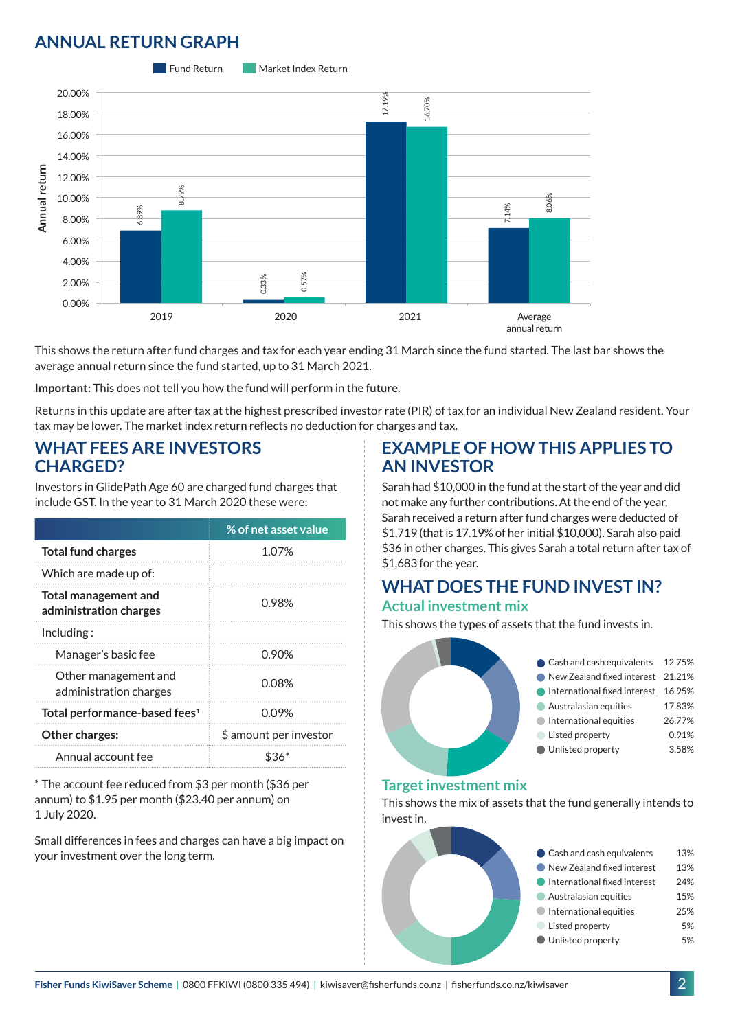#### **ANNUAL RETURN GRAPH**



This shows the return after fund charges and tax for each year ending 31 March since the fund started. The last bar shows the average annual return since the fund started, up to 31 March 2021.

**Important:** This does not tell you how the fund will perform in the future.

Returns in this update are after tax at the highest prescribed investor rate (PIR) of tax for an individual New Zealand resident. Your tax may be lower. The market index return reflects no deduction for charges and tax.

#### **WHAT FEES ARE INVESTORS CHARGED?**

Investors in GlidePath Age 60 are charged fund charges that include GST. In the year to 31 March 2020 these were:

|                                                       | % of net asset value   |  |
|-------------------------------------------------------|------------------------|--|
| <b>Total fund charges</b>                             | 1.07%                  |  |
| Which are made up of:                                 |                        |  |
| <b>Total management and</b><br>administration charges | 0.98%                  |  |
| Inding:                                               |                        |  |
| Manager's basic fee                                   | 0.90%                  |  |
| Other management and<br>administration charges        | 0.08%                  |  |
| Total performance-based fees <sup>1</sup>             | 0.09%                  |  |
| Other charges:                                        | \$ amount per investor |  |
| Annual account fee                                    |                        |  |

\* The account fee reduced from \$3 per month (\$36 per annum) to \$1.95 per month (\$23.40 per annum) on 1 July 2020.

Small differences in fees and charges can have a big impact on your investment over the long term.

#### **EXAMPLE OF HOW THIS APPLIES TO AN INVESTOR**

Sarah had \$10,000 in the fund at the start of the year and did not make any further contributions. At the end of the year, Sarah received a return after fund charges were deducted of \$1,719 (that is 17.19% of her initial \$10,000). Sarah also paid \$36 in other charges. This gives Sarah a total return after tax of

#### **WHAT DOES THE FUND INVEST IN? Actual investment mix**

This shows the types of assets that the fund invests in.



#### **Target investment mix**

This shows the mix of assets that the fund generally intends to invest in.

| Cash and cash equivalents    | 13% |
|------------------------------|-----|
| New Zealand fixed interest   | 13% |
| International fixed interest | 24% |
| Australasian equities        | 15% |
| International equities       | 25% |
| Listed property              | 5%  |
| Unlisted property            | 5%  |
|                              |     |